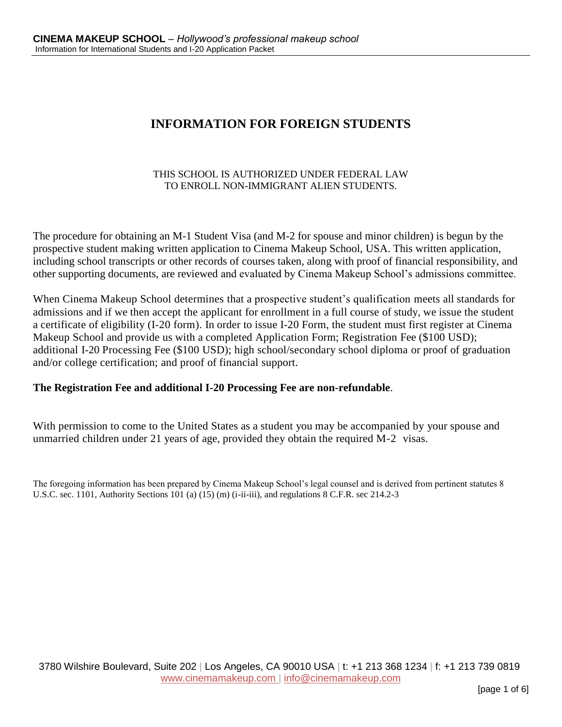## **INFORMATION FOR FOREIGN STUDENTS**

#### THIS SCHOOL IS AUTHORIZED UNDER FEDERAL LAW TO ENROLL NON-IMMIGRANT ALIEN STUDENTS.

The procedure for obtaining an M-1 Student Visa (and M-2 for spouse and minor children) is begun by the prospective student making written application to Cinema Makeup School, USA. This written application, including school transcripts or other records of courses taken, along with proof of financial responsibility, and other supporting documents, are reviewed and evaluated by Cinema Makeup School's admissions committee.

When Cinema Makeup School determines that a prospective student's qualification meets all standards for admissions and if we then accept the applicant for enrollment in a full course of study, we issue the student a certificate of eligibility (I-20 form). In order to issue I-20 Form, the student must first register at Cinema Makeup School and provide us with a completed Application Form; Registration Fee (\$100 USD); additional I-20 Processing Fee (\$100 USD); high school/secondary school diploma or proof of graduation and/or college certification; and proof of financial support.

### **The Registration Fee and additional I-20 Processing Fee are non-refundable**.

With permission to come to the United States as a student you may be accompanied by your spouse and unmarried children under 21 years of age, provided they obtain the required M-2 visas.

The foregoing information has been prepared by Cinema Makeup School's legal counsel and is derived from pertinent statutes 8 U.S.C. sec. 1101, Authority Sections 101 (a) (15) (m) (i-ii-iii), and regulations 8 C.F.R. sec 214.2-3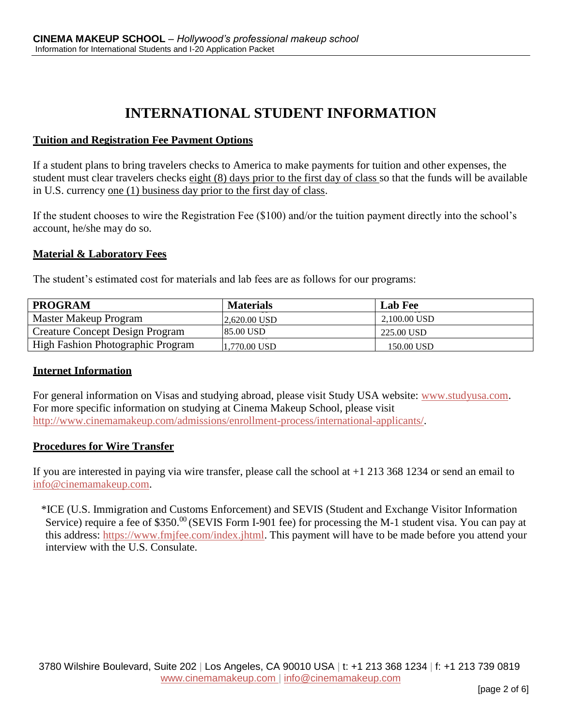# **INTERNATIONAL STUDENT INFORMATION**

#### **Tuition and Registration Fee Payment Options**

If a student plans to bring travelers checks to America to make payments for tuition and other expenses, the student must clear travelers checks eight (8) days prior to the first day of class so that the funds will be available in U.S. currency one (1) business day prior to the first day of class.

If the student chooses to wire the Registration Fee (\$100) and/or the tuition payment directly into the school's account, he/she may do so.

#### **Material & Laboratory Fees**

The student's estimated cost for materials and lab fees are as follows for our programs:

| <b>PROGRAM</b>                           | <b>Materials</b> | <b>Lab Fee</b> |
|------------------------------------------|------------------|----------------|
| Master Makeup Program                    | 2.620.00 USD     | 2.100.00 USD   |
| <b>Creature Concept Design Program</b>   | <b>85.00 USD</b> | 225.00 USD     |
| <b>High Fashion Photographic Program</b> | 1,770.00 USD     | 150.00 USD     |

#### **Internet Information**

For general information on Visas and studying abroad, please visit Study USA website: [www.studyusa.com.](http://www.studyusa.com/) For more specific information on studying at Cinema Makeup School, please visit [http://www.cinemamakeup.com/admissions/enrollment-process/international-applicants/.](http://www.cinemamakeup.com/admissions/enrollment-process/international-applicants/)

#### **Procedures for Wire Transfer**

If you are interested in paying via wire transfer, please call the school at  $+1$  213 368 1234 or send an email to [info@cinemamakeup.com.](mailto:info@cinemamakeup.com)

\*ICE (U.S. Immigration and Customs Enforcement) and SEVIS (Student and Exchange Visitor Information Service) require a fee of \$350. $^{00}$  (SEVIS Form I-901 fee) for processing the M-1 student visa. You can pay at this address: [https://www.fmjfee.com/index.jhtml.](https://www.fmjfee.com/index.jhtml) This payment will have to be made before you attend your interview with the U.S. Consulate.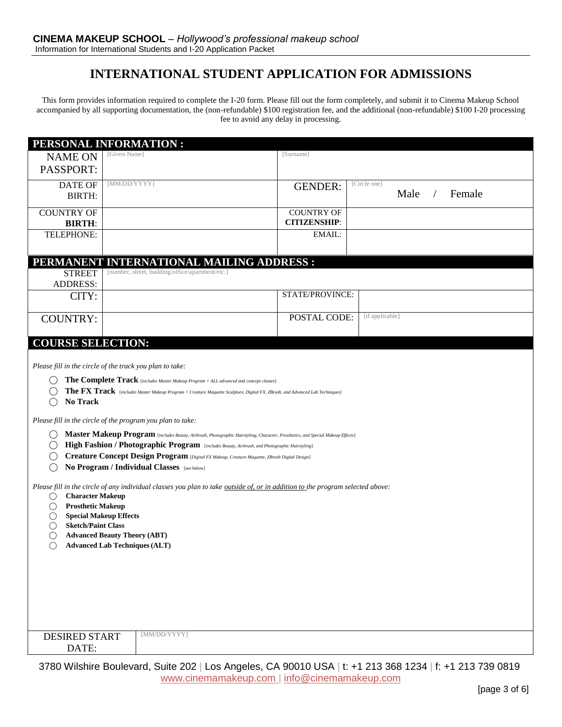## **INTERNATIONAL STUDENT APPLICATION FOR ADMISSIONS**

This form provides information required to complete the I-20 form. Please fill out the form completely, and submit it to Cinema Makeup School accompanied by all supporting documentation, the (non-refundable) \$100 registration fee, and the additional (non-refundable) \$100 I-20 processing fee to avoid any delay in processing.

|                                                                                                                                                                                      | PERSONAL INFORMATION :                                                                                                                                                                                                                                                                                                                                                                                                                                                                                                                                                                                                                                                                                                                      |                                          |                                |
|--------------------------------------------------------------------------------------------------------------------------------------------------------------------------------------|---------------------------------------------------------------------------------------------------------------------------------------------------------------------------------------------------------------------------------------------------------------------------------------------------------------------------------------------------------------------------------------------------------------------------------------------------------------------------------------------------------------------------------------------------------------------------------------------------------------------------------------------------------------------------------------------------------------------------------------------|------------------------------------------|--------------------------------|
| <b>NAME ON</b><br>PASSPORT:                                                                                                                                                          | [Given Name]                                                                                                                                                                                                                                                                                                                                                                                                                                                                                                                                                                                                                                                                                                                                | [Surname]                                |                                |
| <b>DATE OF</b><br><b>BIRTH:</b>                                                                                                                                                      | [MM/DD/YYYY]                                                                                                                                                                                                                                                                                                                                                                                                                                                                                                                                                                                                                                                                                                                                | <b>GENDER:</b>                           | [Circle one]<br>Male<br>Female |
| <b>COUNTRY OF</b><br><b>BIRTH:</b>                                                                                                                                                   |                                                                                                                                                                                                                                                                                                                                                                                                                                                                                                                                                                                                                                                                                                                                             | <b>COUNTRY OF</b><br><b>CITIZENSHIP:</b> |                                |
| TELEPHONE:                                                                                                                                                                           |                                                                                                                                                                                                                                                                                                                                                                                                                                                                                                                                                                                                                                                                                                                                             | EMAIL:                                   |                                |
| <b>STREET</b><br><b>ADDRESS:</b>                                                                                                                                                     | PERMANENT INTERNATIONAL MAILING ADDRESS :<br>[number, street, building/office/apartment/etc.]                                                                                                                                                                                                                                                                                                                                                                                                                                                                                                                                                                                                                                               |                                          |                                |
| CITY:                                                                                                                                                                                |                                                                                                                                                                                                                                                                                                                                                                                                                                                                                                                                                                                                                                                                                                                                             | STATE/PROVINCE:                          |                                |
| <b>COUNTRY:</b>                                                                                                                                                                      |                                                                                                                                                                                                                                                                                                                                                                                                                                                                                                                                                                                                                                                                                                                                             | POSTAL CODE:                             | [if applicable]                |
| <b>COURSE SELECTION:</b><br>$( \ )$<br>No Track<br>$( \ )$<br>()                                                                                                                     | Please fill in the circle of the track you plan to take:<br><b>The Complete Track</b> [includes Master Makeup Program + ALL advanced and concept classes]<br>The FX Track [includes Master Makeup Program + Creature Maquette Sculpture, Digital FX, ZBrush, and Advanced Lab Techniques]<br>Please fill in the circle of the program you plan to take:<br>Master Makeup Program [includes Beauty, Airbrush, Photographic Hairstyling, Character, Prosthetics, and Special Makeup Effects]<br>High Fashion / Photographic Program [includes Beauty, Airbrush, and Photographic Hairstyling]<br>Creature Concept Design Program [Digital FX Makeup, Creature Maquette, ZBrush Digital Design]<br>No Program / Individual Classes [see below] |                                          |                                |
| <b>Character Makeup</b><br>$\left(\right)$<br><b>Prosthetic Makeup</b><br>O<br><b>Special Makeup Effects</b><br>$\left(\right)$<br><b>Sketch/Paint Class</b><br>$\left(\right)$<br>O | Please fill in the circle of any individual classes you plan to take outside of, or in addition to the program selected above:<br><b>Advanced Beauty Theory (ABT)</b><br><b>Advanced Lab Techniques (ALT)</b>                                                                                                                                                                                                                                                                                                                                                                                                                                                                                                                               |                                          |                                |
| <b>DESIRED START</b><br>DATE:                                                                                                                                                        | [MM/DD/YYYY]                                                                                                                                                                                                                                                                                                                                                                                                                                                                                                                                                                                                                                                                                                                                |                                          |                                |

3780 Wilshire Boulevard, Suite 202 | Los Angeles, CA 90010 USA | t: +1 213 368 1234 | f: +1 213 739 0819 www.cinemamakeup.com | info@cinemamakeup.com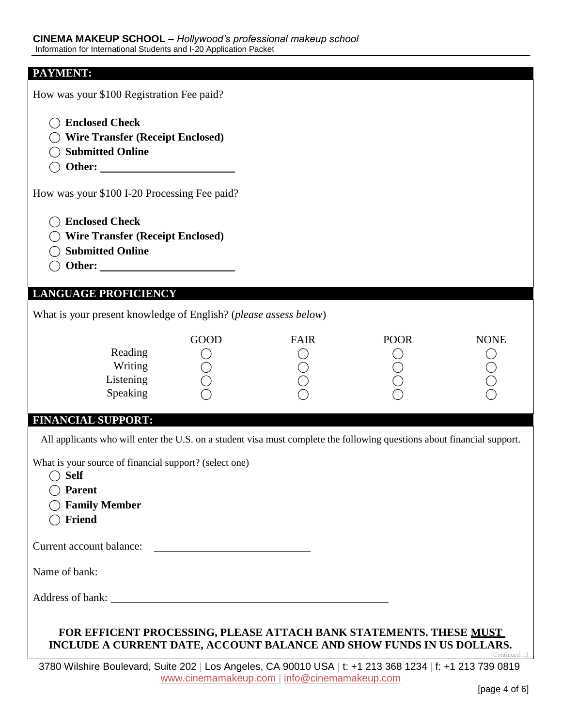| PAYMENT:                                                                                                                                    |             |                                              |             |             |
|---------------------------------------------------------------------------------------------------------------------------------------------|-------------|----------------------------------------------|-------------|-------------|
| How was your \$100 Registration Fee paid?                                                                                                   |             |                                              |             |             |
| <b>Enclosed Check</b><br><b>Wire Transfer (Receipt Enclosed)</b><br><b>Submitted Online</b>                                                 |             |                                              |             |             |
| How was your \$100 I-20 Processing Fee paid?                                                                                                |             |                                              |             |             |
| <b>Enclosed Check</b><br><b>Wire Transfer (Receipt Enclosed)</b><br><b>Submitted Online</b>                                                 |             |                                              |             |             |
| <b>LANGUAGE PROFICIENCY</b>                                                                                                                 |             |                                              |             |             |
| What is your present knowledge of English? (please assess below)                                                                            |             |                                              |             |             |
| Reading<br>Writing<br>Listening<br>Speaking                                                                                                 | <b>GOOD</b> | <b>FAIR</b>                                  | <b>POOR</b> | <b>NONE</b> |
| <b>FINANCIAL SUPPORT:</b>                                                                                                                   |             |                                              |             |             |
| All applicants who will enter the U.S. on a student visa must complete the following questions about financial support.                     |             |                                              |             |             |
| What is your source of financial support? (select one)<br><b>Self</b><br><b>Parent</b><br><b>Family Member</b><br>Friend                    |             |                                              |             |             |
| Current account balance:                                                                                                                    |             |                                              |             |             |
| Name of bank:                                                                                                                               |             |                                              |             |             |
|                                                                                                                                             |             |                                              |             |             |
| FOR EFFICENT PROCESSING, PLEASE ATTACH BANK STATEMENTS. THESE MUST<br>INCLUDE A CURRENT DATE, ACCOUNT BALANCE AND SHOW FUNDS IN US DOLLARS. |             |                                              |             | [Continued] |
| 3780 Wilshire Boulevard, Suite 202   Los Angeles, CA 90010 USA   t: +1 213 368 1234   f: +1 213 739 0819                                    |             | www.cinemamakeup.com   info@cinemamakeup.com |             |             |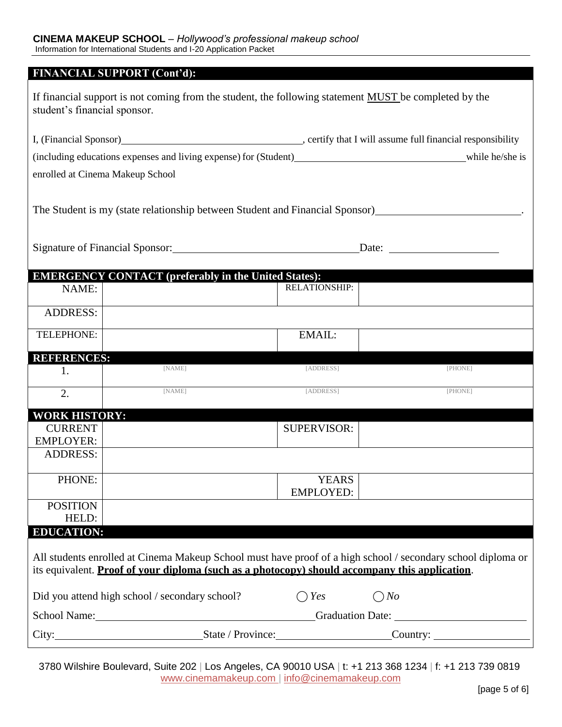|                                     | <b>FINANCIAL SUPPORT (Cont'd):</b>                                                                                                                                                                             |                      |                    |
|-------------------------------------|----------------------------------------------------------------------------------------------------------------------------------------------------------------------------------------------------------------|----------------------|--------------------|
| student's financial sponsor.        | If financial support is not coming from the student, the following statement MUST be completed by the                                                                                                          |                      |                    |
|                                     |                                                                                                                                                                                                                |                      |                    |
|                                     |                                                                                                                                                                                                                |                      |                    |
|                                     | enrolled at Cinema Makeup School                                                                                                                                                                               |                      |                    |
|                                     | The Student is my (state relationship between Student and Financial Sponsor)                                                                                                                                   |                      |                    |
|                                     | Signature of Financial Sponsor: 2008 2010 11:00:00 12:00:00 12:00:00 12:00:00 12:00:00 12:00:00 12:00:00 12:00                                                                                                 |                      | Date: <u>Date:</u> |
|                                     | <b>EMERGENCY CONTACT (preferably in the United States):</b>                                                                                                                                                    |                      |                    |
| NAME:                               |                                                                                                                                                                                                                | <b>RELATIONSHIP:</b> |                    |
| <b>ADDRESS:</b>                     |                                                                                                                                                                                                                |                      |                    |
| TELEPHONE:                          |                                                                                                                                                                                                                | EMAIL:               |                    |
| <b>REFERENCES:</b>                  |                                                                                                                                                                                                                |                      |                    |
| 1.                                  | [NAME]                                                                                                                                                                                                         | [ADDRESS]            | [PHONE]            |
| $\overline{2}$ .                    | [NAME]                                                                                                                                                                                                         | [ADDRESS]            | [PHONE]            |
| <b>WORK HISTORY:</b>                |                                                                                                                                                                                                                |                      |                    |
| <b>CURRENT</b>                      |                                                                                                                                                                                                                | <b>SUPERVISOR:</b>   |                    |
| <b>EMPLOYER:</b><br><b>ADDRESS:</b> |                                                                                                                                                                                                                |                      |                    |
|                                     |                                                                                                                                                                                                                |                      |                    |
| PHONE:                              |                                                                                                                                                                                                                | <b>YEARS</b>         |                    |
|                                     |                                                                                                                                                                                                                | <b>EMPLOYED:</b>     |                    |
| <b>POSITION</b><br>HELD:            |                                                                                                                                                                                                                |                      |                    |
| <b>EDUCATION:</b>                   |                                                                                                                                                                                                                |                      |                    |
|                                     | All students enrolled at Cinema Makeup School must have proof of a high school / secondary school diploma or<br>its equivalent. Proof of your diploma (such as a photocopy) should accompany this application. |                      |                    |
|                                     | Did you attend high school / secondary school?                                                                                                                                                                 | $\bigcap$ Yes        | $\bigcirc$ No      |
|                                     | School Name: Changes and School Name: Changes and School Name: Changes and School Name:                                                                                                                        |                      |                    |
|                                     | City: City: City: City: City: Country:                                                                                                                                                                         |                      |                    |

3780 Wilshire Boulevard, Suite 202 | Los Angeles, CA 90010 USA | t: +1 213 368 1234 | f: +1 213 739 0819 www.cinemamakeup.com | info@cinemamakeup.com